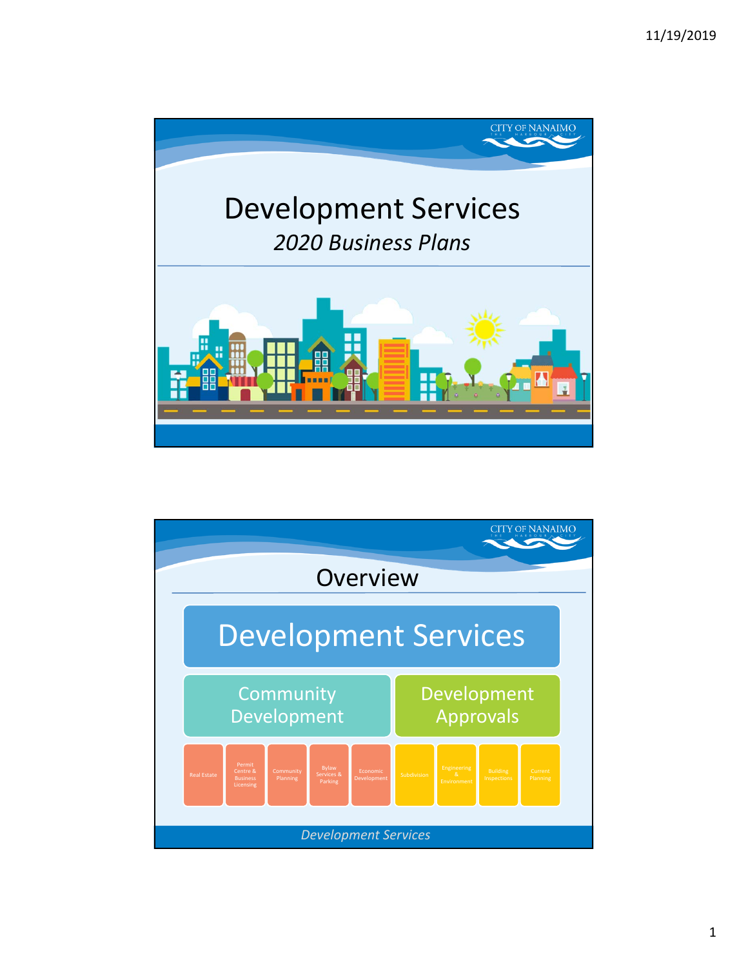

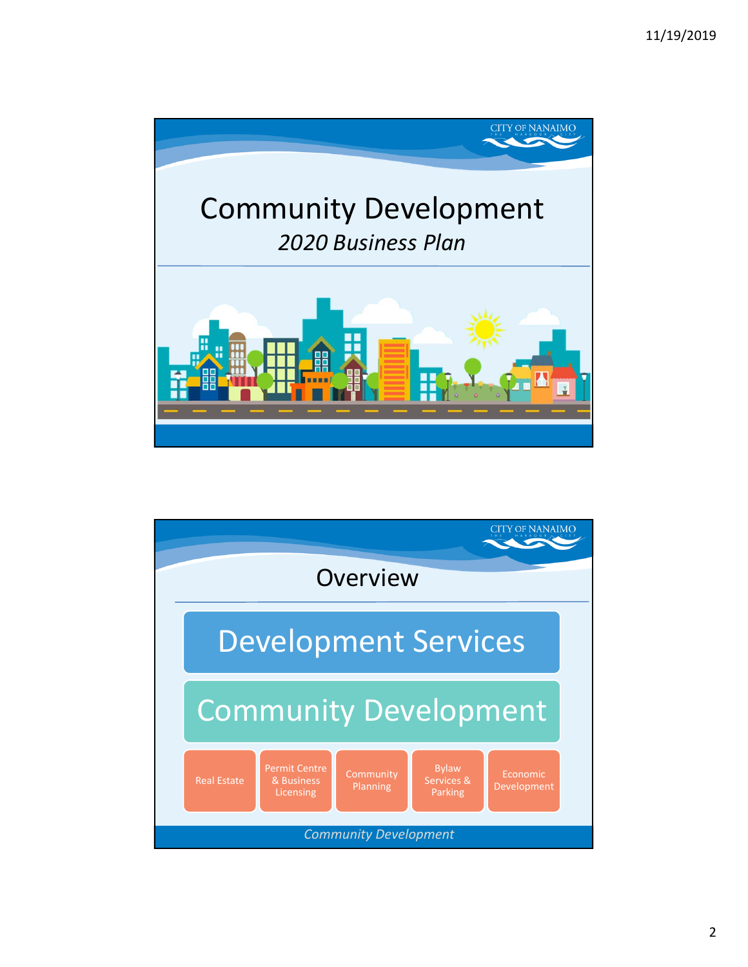

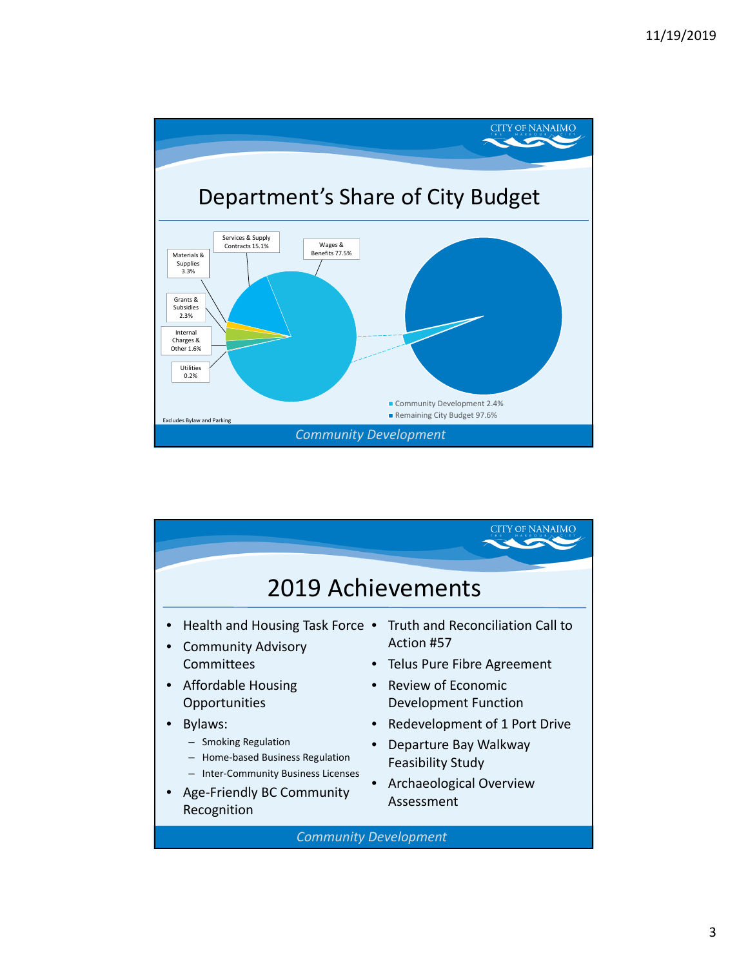

|                                                                                                                                                                                                                                                                                | 2019 Achievements                                                                                                                                                                                                                                         |
|--------------------------------------------------------------------------------------------------------------------------------------------------------------------------------------------------------------------------------------------------------------------------------|-----------------------------------------------------------------------------------------------------------------------------------------------------------------------------------------------------------------------------------------------------------|
| Health and Housing Task Force .<br><b>Community Advisory</b><br>Committees<br>Affordable Housing<br>Opportunities<br>Bylaws:<br>- Smoking Regulation<br>Home-based Business Regulation<br><b>Inter-Community Business Licenses</b><br>Age-Friendly BC Community<br>Recognition | Truth and Reconciliation Call to<br>Action #57<br>Telus Pure Fibre Agreement<br>Review of Economic<br>Development Function<br>Redevelopment of 1 Port Drive<br>Departure Bay Walkway<br><b>Feasibility Study</b><br>Archaeological Overview<br>Assessment |
|                                                                                                                                                                                                                                                                                | <b>Community Development</b>                                                                                                                                                                                                                              |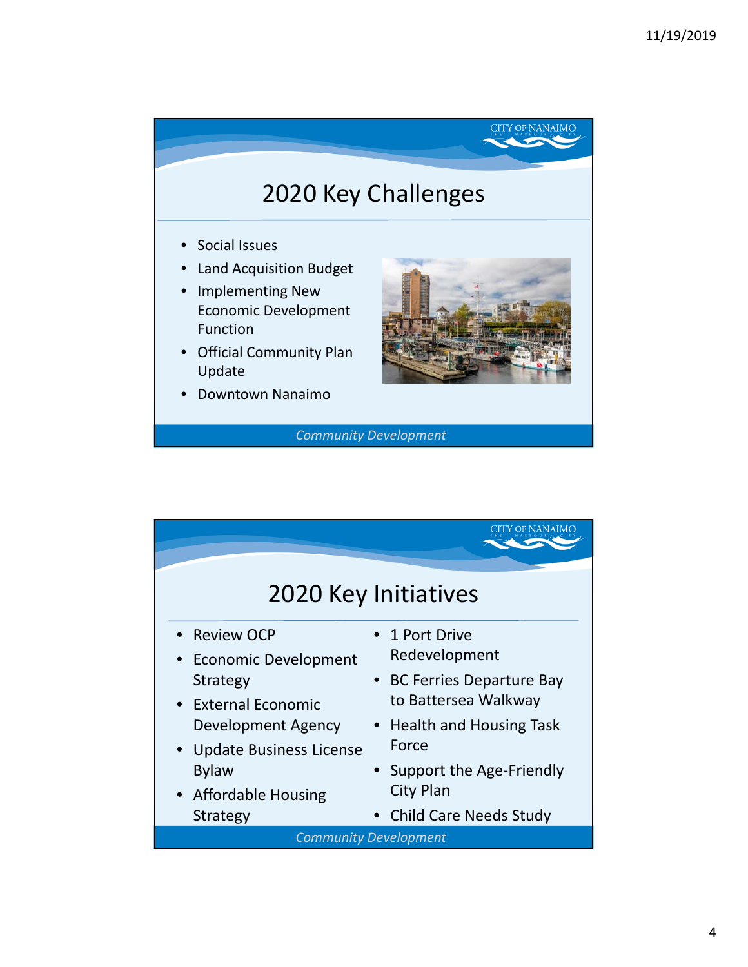## 2020 Key Challenges

- Social Issues
- Land Acquisition Budget
- Implementing New Economic Development Function
- Official Community Plan Update
- Downtown Nanaimo



**CITY OF NANAIMO** 

*Community Development*

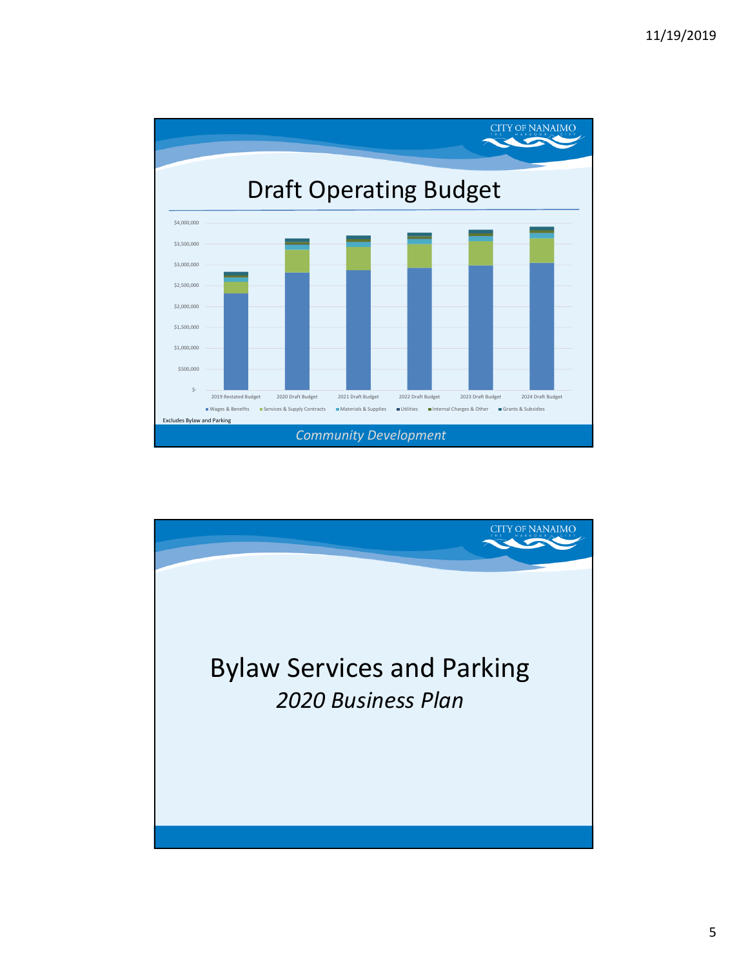

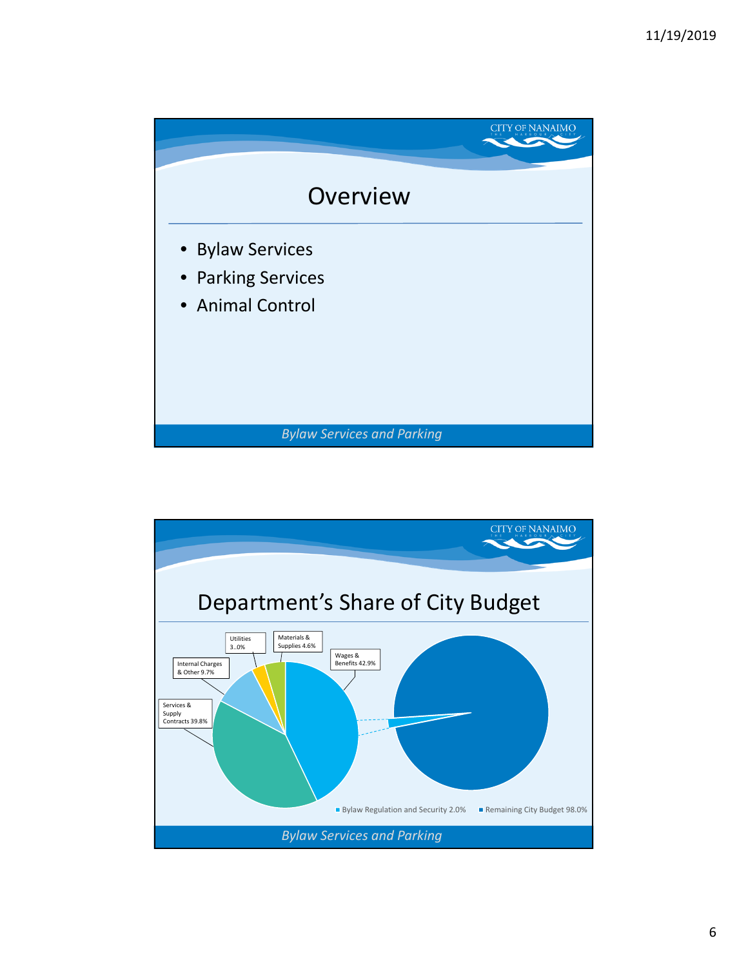

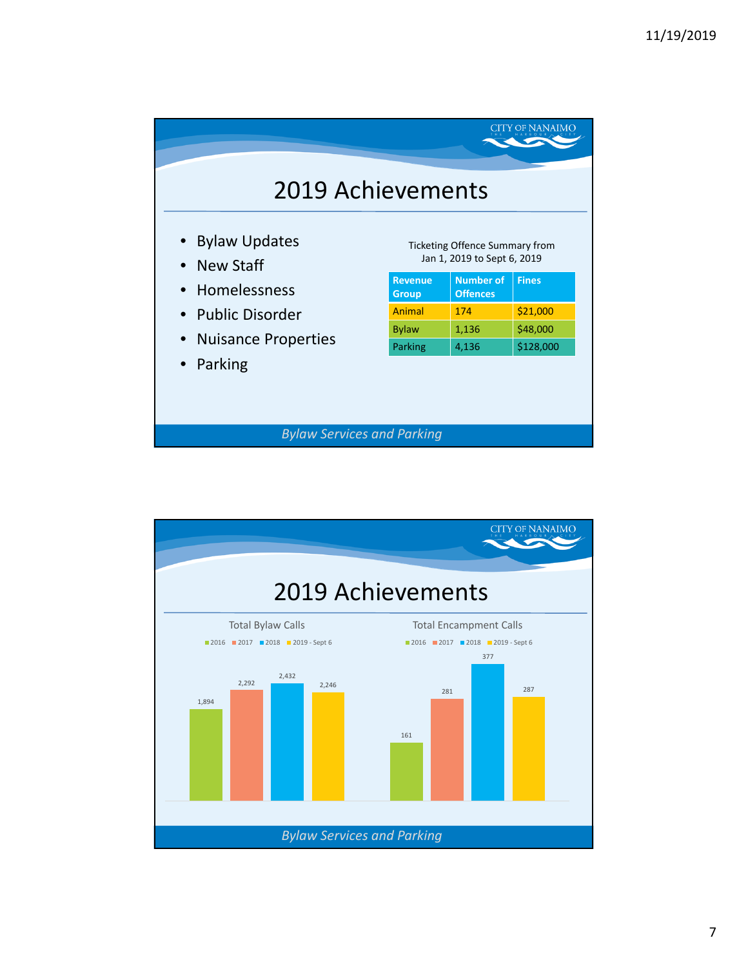| <b>2019 Achievements</b><br><b>Ticketing Offence Summary from</b><br>Jan 1, 2019 to Sept 6, 2019 | <b>Fines</b> |
|--------------------------------------------------------------------------------------------------|--------------|
|                                                                                                  |              |
|                                                                                                  |              |
| <b>Number of</b><br><b>Revenue</b><br><b>Offences</b><br><b>Group</b>                            |              |
| Animal<br>174                                                                                    | \$21,000     |
| 1,136                                                                                            | \$48,000     |
| 4,136                                                                                            | \$128,000    |
|                                                                                                  | Parking      |

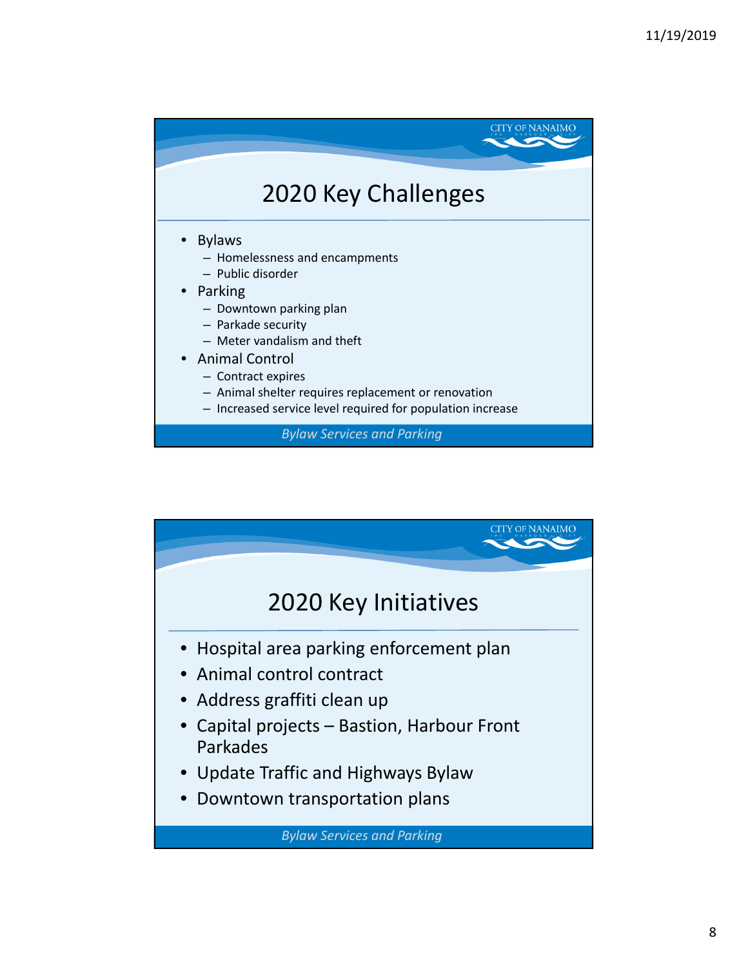

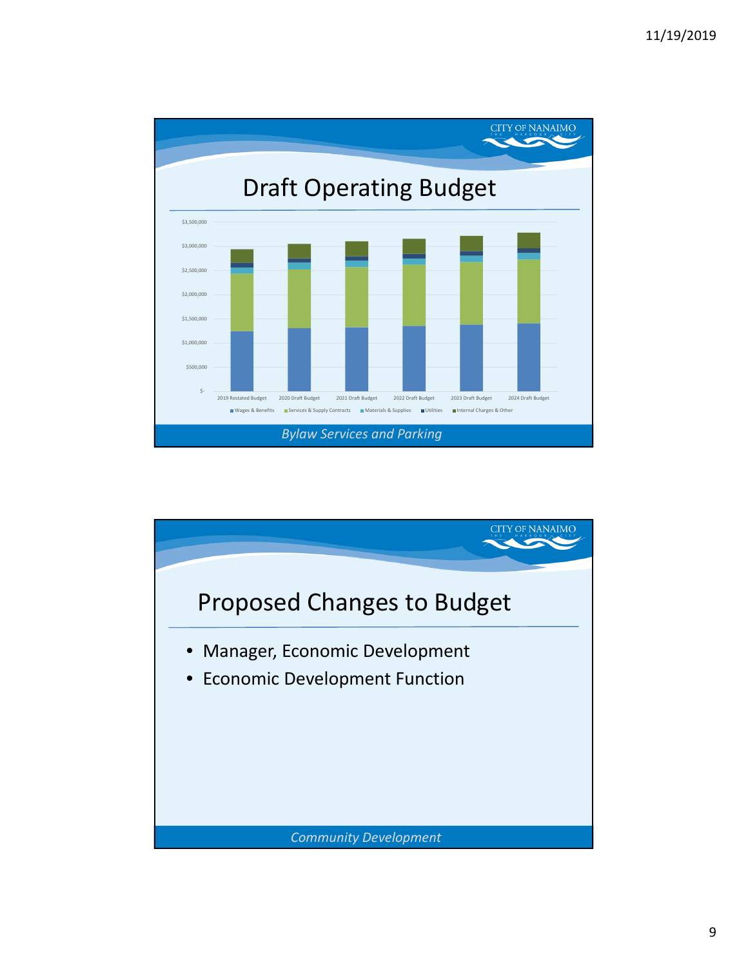

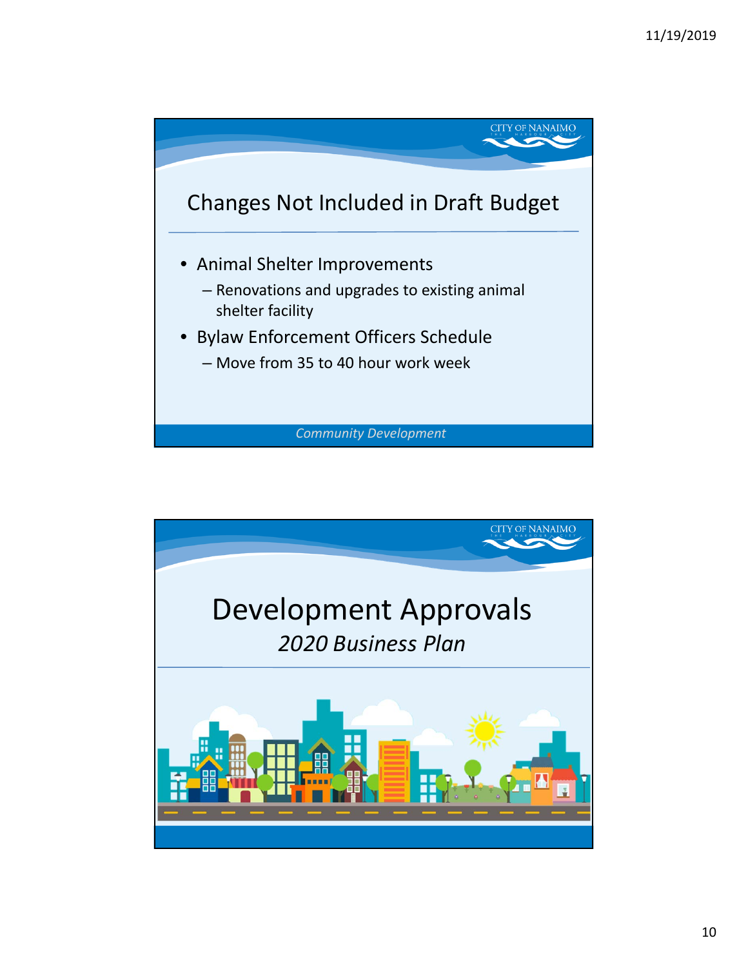

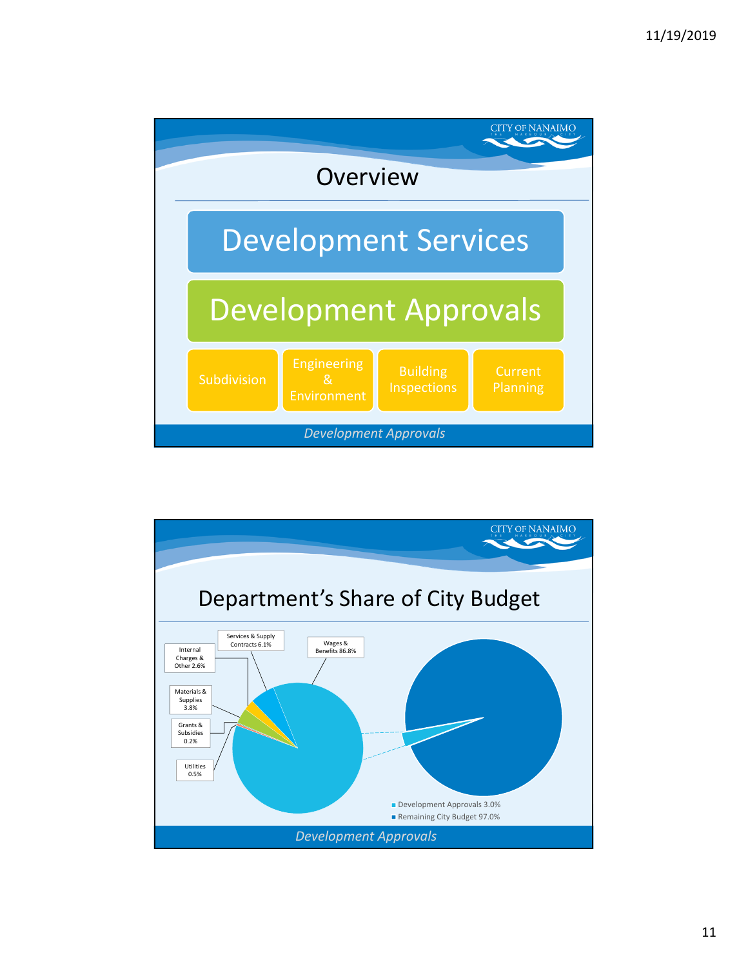

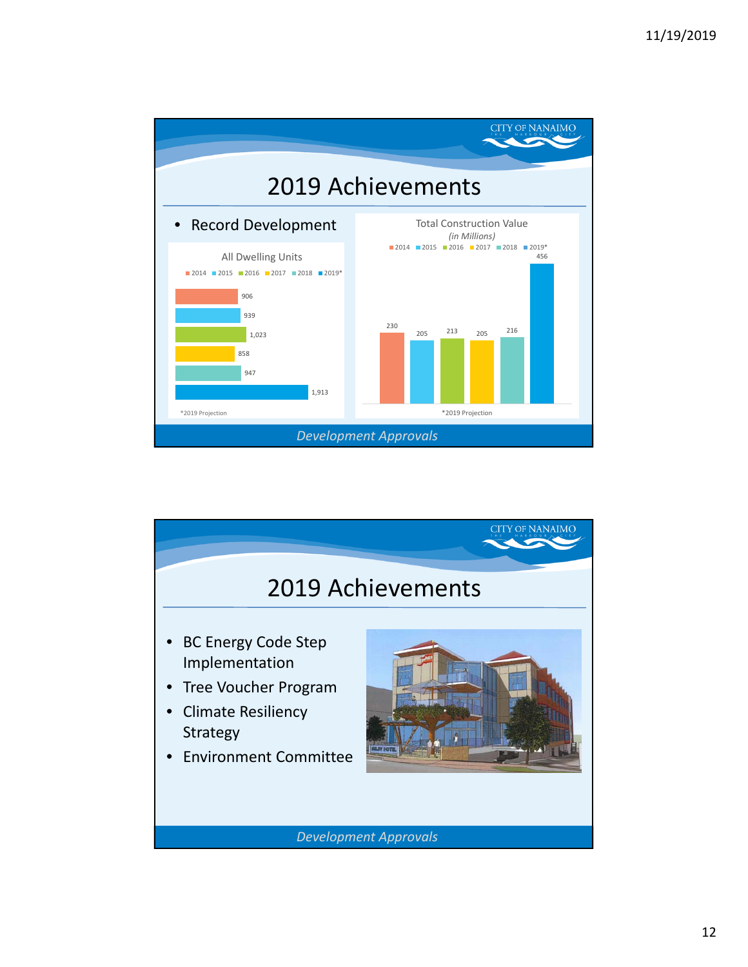

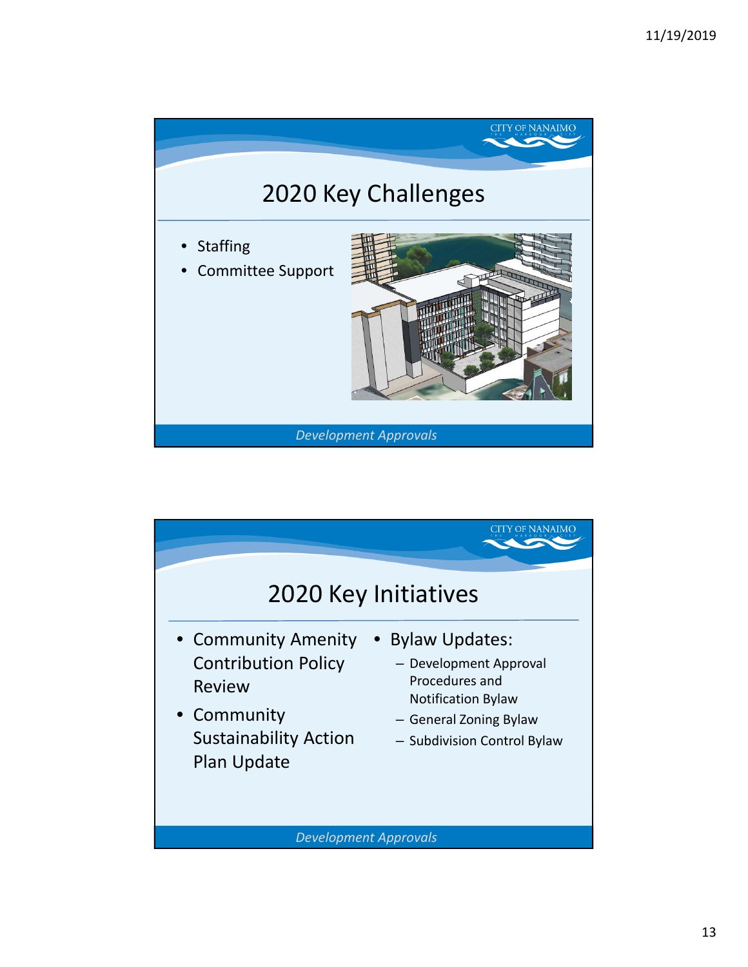

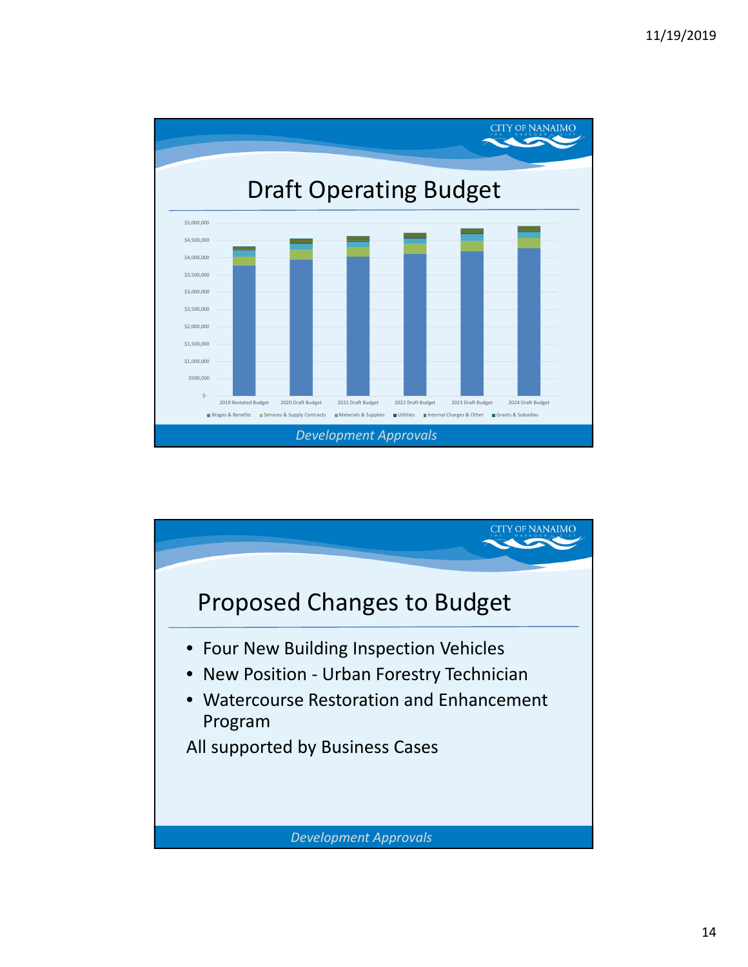